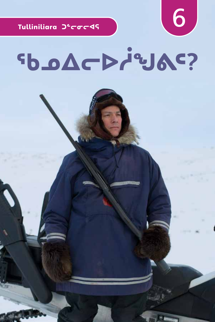Tulliniliara Jecocds

### SDACP/31AC?

6

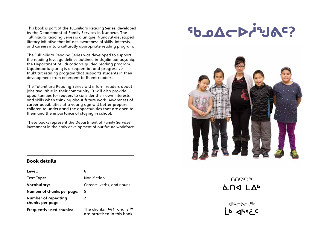This book is part of the Tulliniliara Reading Series, developed by the Department of Family Services in Nunavut. The Tulliniliara Reading Series is a unique, Nunavut-developed literacy initiative that infuses awareness of skills, interests, and careers into a culturally appropriate reading program.

The Tulliniliara Reading Series was developed to support the reading level guidelines outlined in Uqalimaariuqsaniq, the Department of Education's guided reading program. Uqalimaariuqsaniq is a sequential and progressive Inuktitut reading program that supports students in their development from emergent to fluent readers.

The Tulliniliara Reading Series will inform readers about jobs available in their community. It will also provide opportunities for readers to consider their own interests and skills when thinking about future work. Awareness of career possibilities at a young age will better prepare children to understand the opportunities that are open to them and the importance of staying in school.

These books represent the Department of Family Services' investment in the early development of our future workforce.

### SOLO DOCK



#### Book details

| Level:                                         | 6                                                                                                 |
|------------------------------------------------|---------------------------------------------------------------------------------------------------|
| Text Type:                                     | Non-fiction                                                                                       |
| Vocabulary:                                    | Careers, verbs, and nouns                                                                         |
| Number of chunks per page:                     | 5                                                                                                 |
| <b>Number of repeating</b><br>chunks per page: | 2                                                                                                 |
| <b>Frequently used chunks:</b>                 | The chunks $-\frac{\lambda}{\Omega}$ and $-\frac{\lambda}{\Omega}$<br>are practised in this book. |

∩∩S **ΔΩΦ** 

**JECOL ᒫᒃ ᐊᔅᑉᓛᑦ**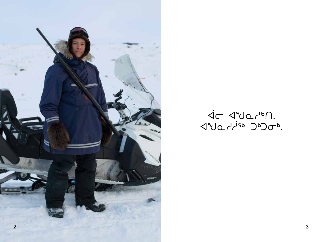

##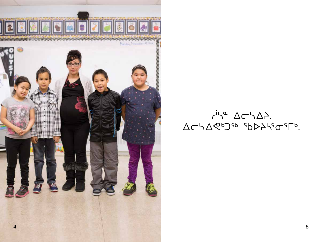

#### $\overline{A}^{\prime}A^{\alpha}$   $\Delta\subset\Delta\Delta$ . ΔΕΥΔΚΟΜΑ SDDASGTD.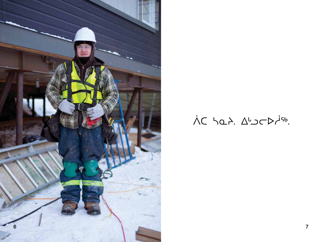

### ÀC hat. Aborbisb.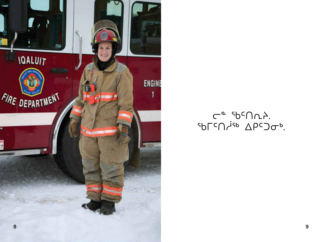

#### $C^{\alpha}$  spc $\bigcup_{\alpha} C$ .  $\Delta \rho c$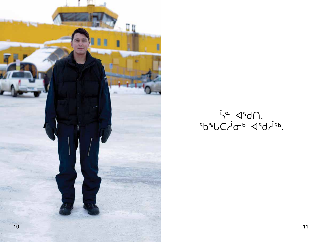

#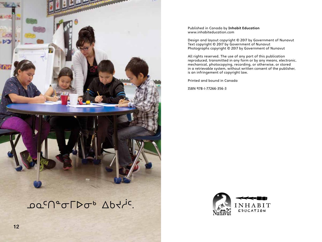

<u></u>ΩΩ<sup>с</sup>∩°σΓΣσ<sup>ь</sup> Δbτ/ic.

Published in Canada by **Inhabit Education** www.inhabiteducation.com

Design and layout copyright © 2017 by Government of Nunavut Text copyright © 2017 by Government of Nunavut Photographs copyright © 2017 by Government of Nunavut

All rights reserved. The use of any part of this publication reproduced, transmitted in any form or by any means, electronic, mechanical, photocopying, recording, or otherwise, or stored in a retrievable system, without written consent of the publisher, is an infringement of copyright law.

Printed and bound in Canada

ISBN 978-1-77266-356-3